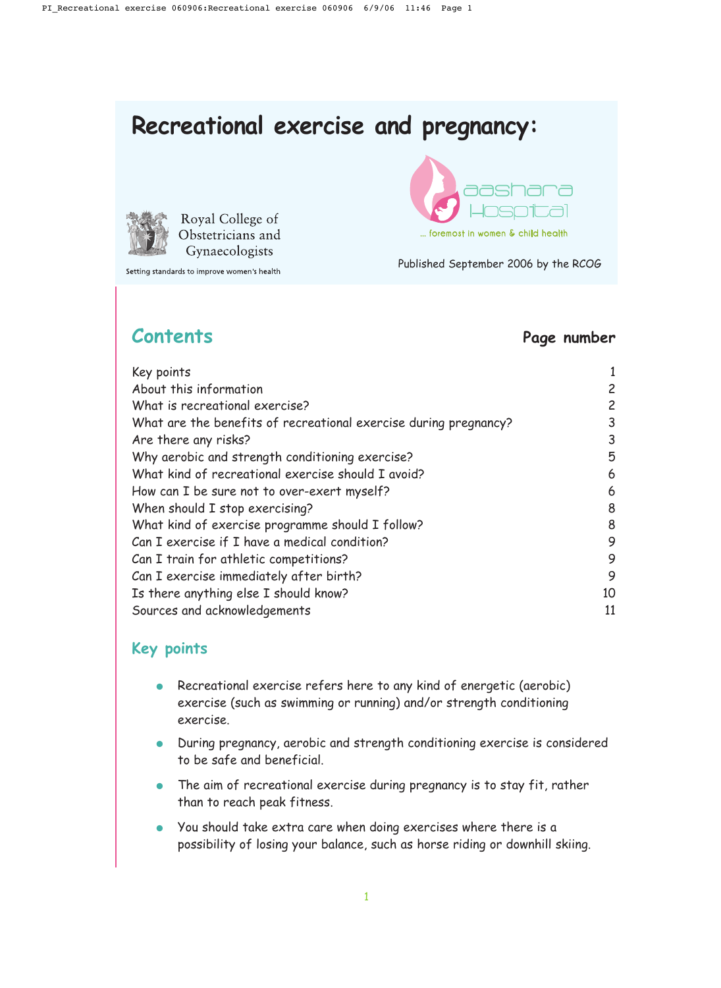# **Recreational exercise and pregnancy:**



Royal College of Obstetricians and Gynaecologists

Setting standards to improve women's health



Published September 2006 by the RCOG

### **Contents Page number**

| Key points                                                       |                |
|------------------------------------------------------------------|----------------|
| About this information                                           | 2              |
| What is recreational exercise?                                   | $\overline{c}$ |
| What are the benefits of recreational exercise during pregnancy? | 3              |
| Are there any risks?                                             | 3              |
| Why aerobic and strength conditioning exercise?                  | 5              |
| What kind of recreational exercise should I avoid?               | 6              |
| How can I be sure not to over-exert myself?                      | 6              |
| When should I stop exercising?                                   | 8              |
| What kind of exercise programme should I follow?                 | 8              |
| Can I exercise if I have a medical condition?                    | 9              |
| Can I train for athletic competitions?                           | 9              |
| Can I exercise immediately after birth?                          | 9              |
| Is there anything else I should know?                            | 10             |
| Sources and acknowledgements                                     | 11             |
|                                                                  |                |

### **Key points**

- Recreational exercise refers here to any kind of energetic (aerobic) exercise (such as swimming or running) and/or strength conditioning exercise.
- During pregnancy, aerobic and strength conditioning exercise is considered to be safe and beneficial.
- The aim of recreational exercise during pregnancy is to stay fit, rather than to reach peak fitness.
- You should take extra care when doing exercises where there is a possibility of losing your balance, such as horse riding or downhill skiing.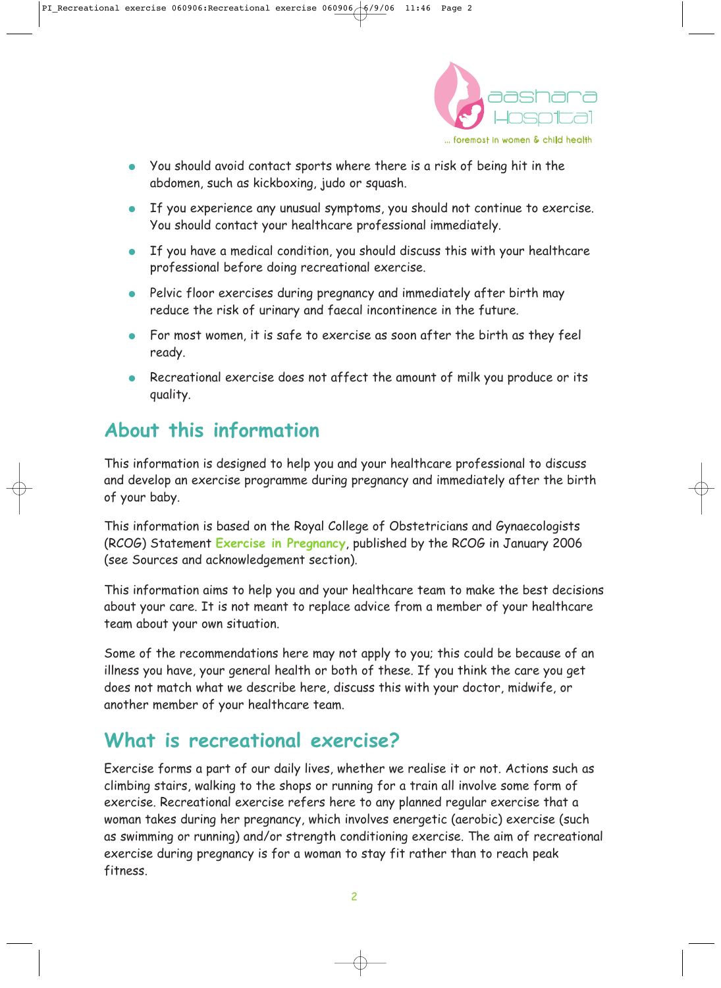

- You should avoid contact sports where there is a risk of being hit in the abdomen, such as kickboxing, judo or squash.
- If you experience any unusual symptoms, you should not continue to exercise. You should contact your healthcare professional immediately.
- If you have a medical condition, you should discuss this with your healthcare professional before doing recreational exercise.
- Pelvic floor exercises during pregnancy and immediately after birth may reduce the risk of urinary and faecal incontinence in the future.
- For most women, it is safe to exercise as soon after the birth as they feel ready.
- Recreational exercise does not affect the amount of milk you produce or its quality.

# **About this information**

This information is designed to help you and your healthcare professional to discuss and develop an exercise programme during pregnancy and immediately after the birth of your baby.

This information is based on the Royal College of Obstetricians and Gynaecologists (RCOG) Statement **Exercise in Pregnancy**, published by the RCOG in January 2006 (see Sources and acknowledgement section).

This information aims to help you and your healthcare team to make the best decisions about your care. It is not meant to replace advice from a member of your healthcare team about your own situation.

Some of the recommendations here may not apply to you; this could be because of an illness you have, your general health or both of these. If you think the care you get does not match what we describe here, discuss this with your doctor, midwife, or another member of your healthcare team.

# **What is recreational exercise?**

Exercise forms a part of our daily lives, whether we realise it or not. Actions such as climbing stairs, walking to the shops or running for a train all involve some form of exercise. Recreational exercise refers here to any planned regular exercise that a woman takes during her pregnancy, which involves energetic (aerobic) exercise (such as swimming or running) and/or strength conditioning exercise. The aim of recreational exercise during pregnancy is for a woman to stay fit rather than to reach peak fitness.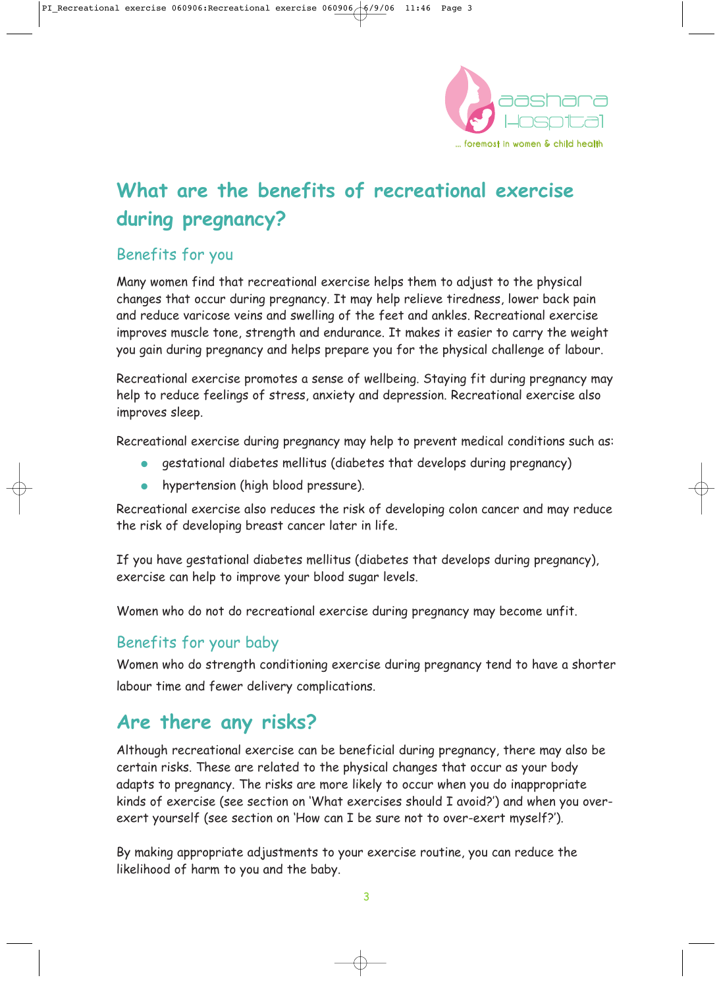

# **What are the benefits of recreational exercise during pregnancy?**

### Benefits for you

Many women find that recreational exercise helps them to adjust to the physical changes that occur during pregnancy. It may help relieve tiredness, lower back pain and reduce varicose veins and swelling of the feet and ankles. Recreational exercise improves muscle tone, strength and endurance. It makes it easier to carry the weight you gain during pregnancy and helps prepare you for the physical challenge of labour.

Recreational exercise promotes a sense of wellbeing. Staying fit during pregnancy may help to reduce feelings of stress, anxiety and depression. Recreational exercise also improves sleep.

Recreational exercise during pregnancy may help to prevent medical conditions such as:

- gestational diabetes mellitus (diabetes that develops during pregnancy)
- hypertension (high blood pressure).

Recreational exercise also reduces the risk of developing colon cancer and may reduce the risk of developing breast cancer later in life.

If you have gestational diabetes mellitus (diabetes that develops during pregnancy), exercise can help to improve your blood sugar levels.

Women who do not do recreational exercise during pregnancy may become unfit.

### Benefits for your baby

Women who do strength conditioning exercise during pregnancy tend to have a shorter labour time and fewer delivery complications.

### **Are there any risks?**

Although recreational exercise can be beneficial during pregnancy, there may also be certain risks. These are related to the physical changes that occur as your body adapts to pregnancy. The risks are more likely to occur when you do inappropriate kinds of exercise (see section on 'What exercises should I avoid?') and when you overexert yourself (see section on 'How can I be sure not to over-exert myself?').

By making appropriate adjustments to your exercise routine, you can reduce the likelihood of harm to you and the baby.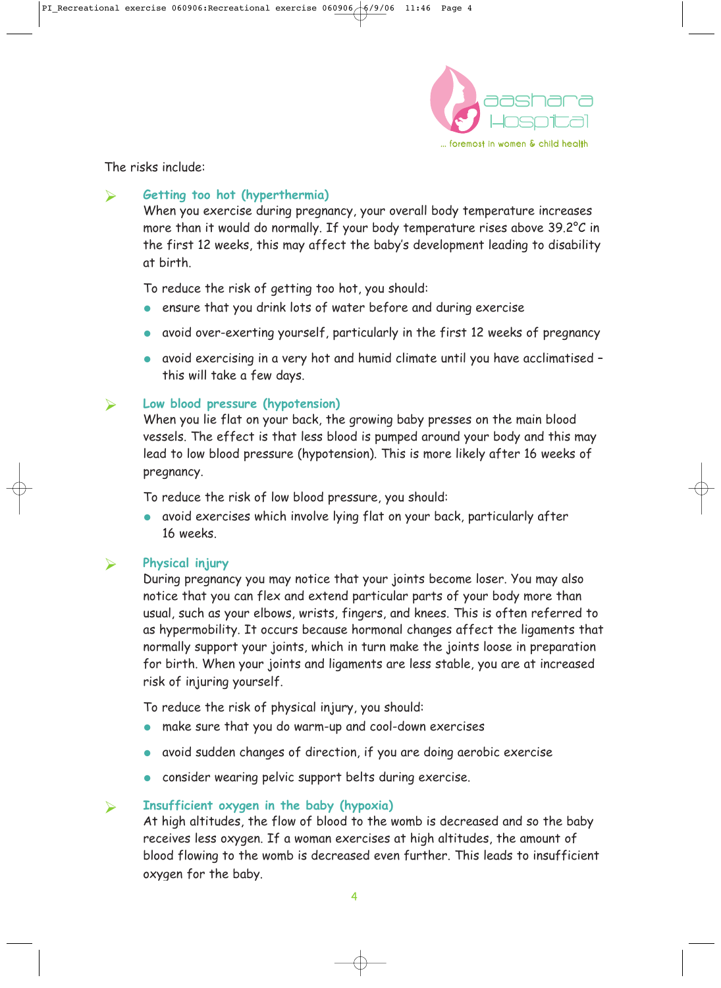

The risks include:

### **Getting too hot (hyperthermia)**

When you exercise during pregnancy, your overall body temperature increases more than it would do normally. If your body temperature rises above 39.2°C in the first 12 weeks, this may affect the baby's development leading to disability at birth.

To reduce the risk of getting too hot, you should:

- ensure that you drink lots of water before and during exercise
- avoid over-exerting yourself, particularly in the first 12 weeks of pregnancy
- avoid exercising in a very hot and humid climate until you have acclimatised this will take a few days.

#### **Low blood pressure (hypotension)**

When you lie flat on your back, the growing baby presses on the main blood vessels. The effect is that less blood is pumped around your body and this may lead to low blood pressure (hypotension). This is more likely after 16 weeks of pregnancy.

To reduce the risk of low blood pressure, you should:

● avoid exercises which involve lying flat on your back, particularly after 16 weeks.

#### **Physical injury**

During pregnancy you may notice that your joints become loser. You may also notice that you can flex and extend particular parts of your body more than usual, such as your elbows, wrists, fingers, and knees. This is often referred to as hypermobility. It occurs because hormonal changes affect the ligaments that normally support your joints, which in turn make the joints loose in preparation for birth. When your joints and ligaments are less stable, you are at increased risk of injuring yourself.

To reduce the risk of physical injury, you should:

- make sure that you do warm-up and cool-down exercises
- avoid sudden changes of direction, if you are doing aerobic exercise
- consider wearing pelvic support belts during exercise.

#### **Insufficient oxygen in the baby (hypoxia)**

At high altitudes, the flow of blood to the womb is decreased and so the baby receives less oxygen. If a woman exercises at high altitudes, the amount of blood flowing to the womb is decreased even further. This leads to insufficient oxygen for the baby.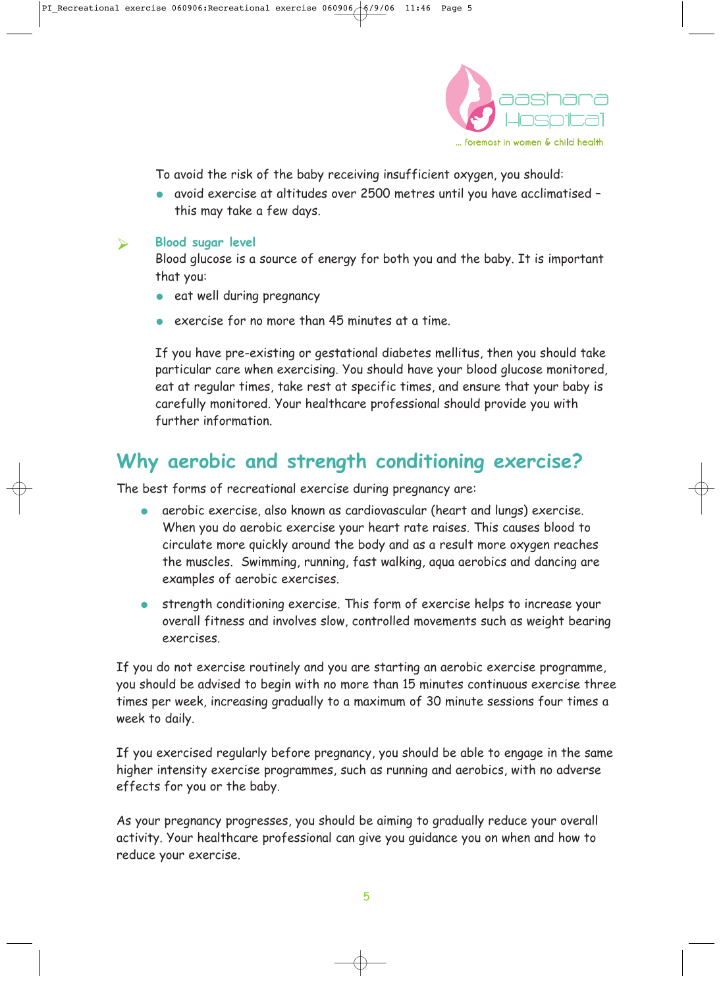

To avoid the risk of the baby receiving insufficient oxygen, you should:

● avoid exercise at altitudes over 2500 metres until you have acclimatised – this may take a few days.

#### **Blood sugar level**

Blood glucose is a source of energy for both you and the baby. It is important that you:

- eat well during pregnancy
- exercise for no more than 45 minutes at a time.

If you have pre-existing or gestational diabetes mellitus, then you should take particular care when exercising. You should have your blood glucose monitored, eat at regular times, take rest at specific times, and ensure that your baby is carefully monitored. Your healthcare professional should provide you with further information.

## **Why aerobic and strength conditioning exercise?**

The best forms of recreational exercise during pregnancy are:

- aerobic exercise, also known as cardiovascular (heart and lungs) exercise. When you do aerobic exercise your heart rate raises. This causes blood to circulate more quickly around the body and as a result more oxygen reaches the muscles. Swimming, running, fast walking, aqua aerobics and dancing are examples of aerobic exercises.
- strength conditioning exercise. This form of exercise helps to increase your overall fitness and involves slow, controlled movements such as weight bearing exercises.

If you do not exercise routinely and you are starting an aerobic exercise programme, you should be advised to begin with no more than 15 minutes continuous exercise three times per week, increasing gradually to a maximum of 30 minute sessions four times a week to daily.

If you exercised regularly before pregnancy, you should be able to engage in the same higher intensity exercise programmes, such as running and aerobics, with no adverse effects for you or the baby.

As your pregnancy progresses, you should be aiming to gradually reduce your overall activity. Your healthcare professional can give you guidance you on when and how to reduce your exercise.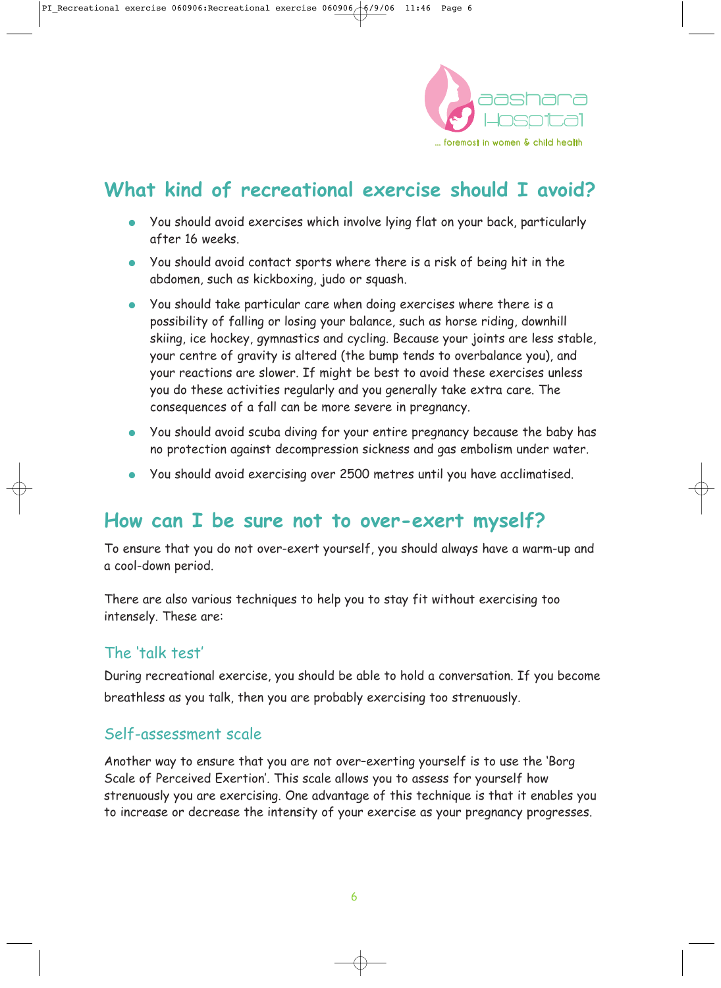

# **What kind of recreational exercise should I avoid?**

- You should avoid exercises which involve lying flat on your back, particularly after 16 weeks.
- You should avoid contact sports where there is a risk of being hit in the abdomen, such as kickboxing, judo or squash.
- You should take particular care when doing exercises where there is a possibility of falling or losing your balance, such as horse riding, downhill skiing, ice hockey, gymnastics and cycling. Because your joints are less stable, your centre of gravity is altered (the bump tends to overbalance you), and your reactions are slower. If might be best to avoid these exercises unless you do these activities regularly and you generally take extra care. The consequences of a fall can be more severe in pregnancy.
- You should avoid scuba diving for your entire pregnancy because the baby has no protection against decompression sickness and gas embolism under water.
- You should avoid exercising over 2500 metres until you have acclimatised.

### **How can I be sure not to over-exert myself?**

To ensure that you do not over-exert yourself, you should always have a warm-up and a cool-down period.

There are also various techniques to help you to stay fit without exercising too intensely. These are:

### The 'talk test'

During recreational exercise, you should be able to hold a conversation. If you become breathless as you talk, then you are probably exercising too strenuously.

### Self-assessment scale

Another way to ensure that you are not over–exerting yourself is to use the 'Borg Scale of Perceived Exertion'. This scale allows you to assess for yourself how strenuously you are exercising. One advantage of this technique is that it enables you to increase or decrease the intensity of your exercise as your pregnancy progresses.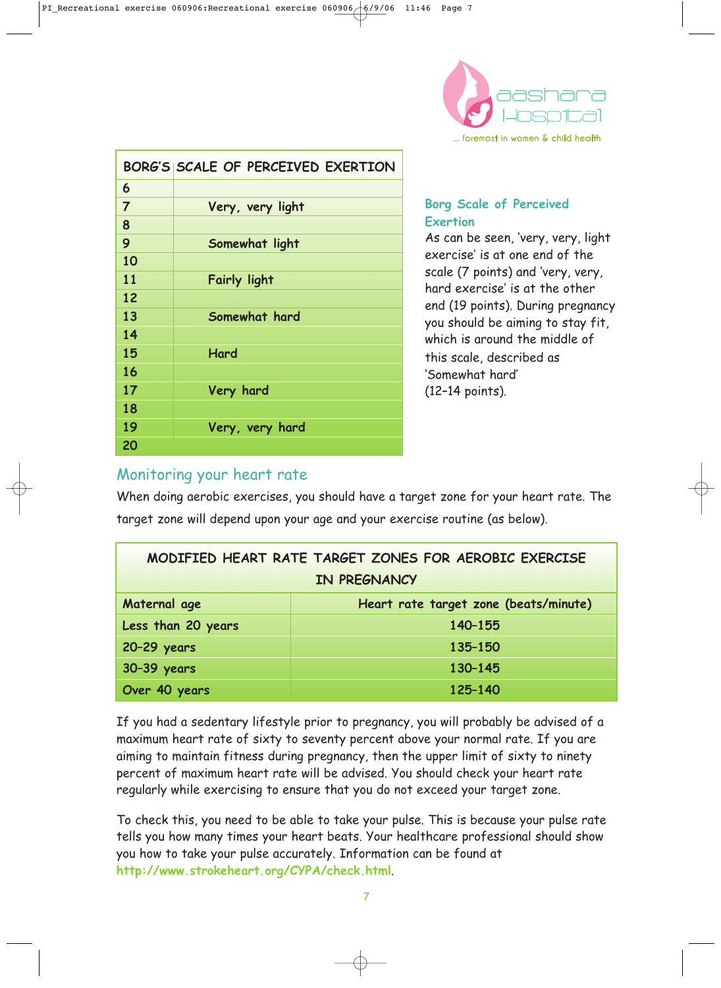

|                | BORG'S SCALE OF PERCEIVED EXERTION |
|----------------|------------------------------------|
| 6              |                                    |
| $\overline{7}$ | Very, very light                   |
| 8              |                                    |
| 9              | Somewhat light                     |
| 10             |                                    |
| 11             | <b>Fairly light</b>                |
| 12             |                                    |
| 13             | Somewhat hard                      |
| 14             |                                    |
| 15             | Hard                               |
| 16             |                                    |
| 17             | Very hard                          |
| 18             |                                    |
| 19             | Very, very hard                    |
| 20             |                                    |

#### **Borg Scale of Perceived Exertion**

As can be seen, 'very, very, light exercise' is at one end of the scale (7 points) and 'very, very, hard exercise' is at the other end (19 points). During pregnancy you should be aiming to stay fit, which is around the middle of this scale, described as 'Somewhat hard' (12–14 points).

### Monitoring your heart rate

When doing aerobic exercises, you should have a target zone for your heart rate. The target zone will depend upon your age and your exercise routine (as below).

| MODIFIED HEART RATE TARGET ZONES FOR AEROBIC EXERCISE |                                       |  |
|-------------------------------------------------------|---------------------------------------|--|
| IN PREGNANCY                                          |                                       |  |
| Maternal age                                          | Heart rate target zone (beats/minute) |  |
| Less than 20 years                                    | 140-155                               |  |
| 20-29 years                                           | 135-150                               |  |
| 30-39 years                                           | 130-145                               |  |
| Over 40 years                                         | 125-140                               |  |

If you had a sedentary lifestyle prior to pregnancy, you will probably be advised of a maximum heart rate of sixty to seventy percent above your normal rate. If you are aiming to maintain fitness during pregnancy, then the upper limit of sixty to ninety percent of maximum heart rate will be advised. You should check your heart rate regularly while exercising to ensure that you do not exceed your target zone.

To check this, you need to be able to take your pulse. This is because your pulse rate tells you how many times your heart beats. Your healthcare professional should show you how to take your pulse accurately. Information can be found at **http://www.strokeheart.org/CYPA/check.html**.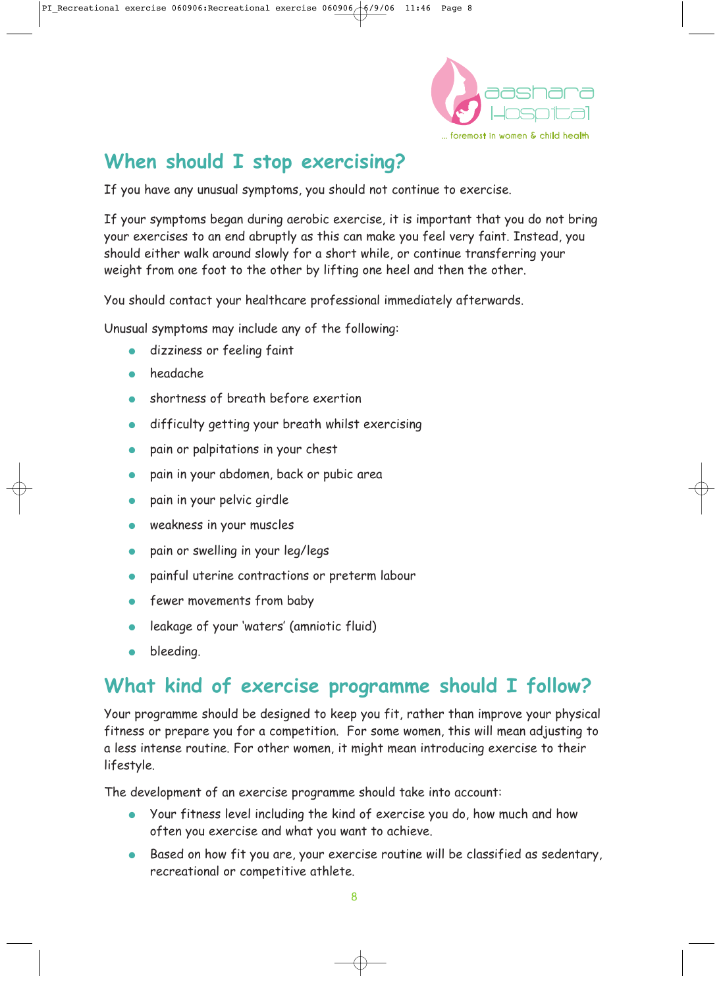

# **When should I stop exercising?**

If you have any unusual symptoms, you should not continue to exercise.

If your symptoms began during aerobic exercise, it is important that you do not bring your exercises to an end abruptly as this can make you feel very faint. Instead, you should either walk around slowly for a short while, or continue transferring your weight from one foot to the other by lifting one heel and then the other.

You should contact your healthcare professional immediately afterwards.

Unusual symptoms may include any of the following:

- dizziness or feeling faint
- headache.
- shortness of breath before exertion
- difficulty getting your breath whilst exercising
- pain or palpitations in your chest
- pain in your abdomen, back or pubic area
- pain in your pelvic girdle
- weakness in your muscles
- pain or swelling in your leg/legs
- painful uterine contractions or preterm labour
- fewer movements from baby
- leakage of your 'waters' (amniotic fluid)
- bleeding.

# **What kind of exercise programme should I follow?**

Your programme should be designed to keep you fit, rather than improve your physical fitness or prepare you for a competition. For some women, this will mean adjusting to a less intense routine. For other women, it might mean introducing exercise to their lifestyle.

The development of an exercise programme should take into account:

- Your fitness level including the kind of exercise you do, how much and how often you exercise and what you want to achieve.
- Based on how fit you are, your exercise routine will be classified as sedentary, recreational or competitive athlete.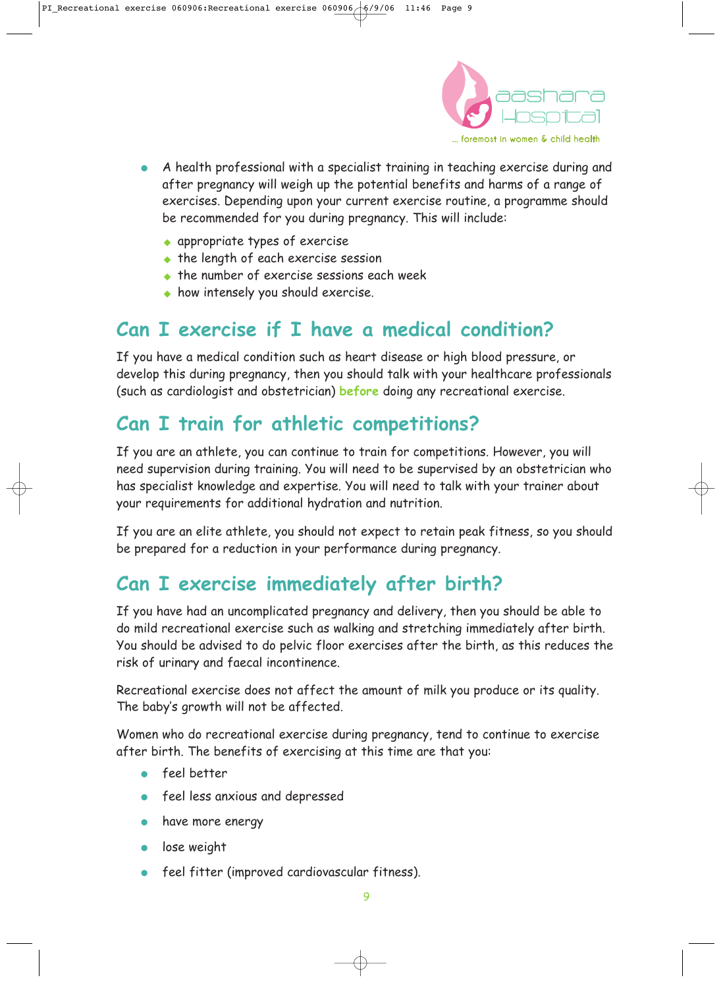

- A health professional with a specialist training in teaching exercise during and after pregnancy will weigh up the potential benefits and harms of a range of exercises. Depending upon your current exercise routine, a programme should be recommended for you during pregnancy. This will include:
	- appropriate types of exercise
	- the length of each exercise session
	- the number of exercise sessions each week
	- how intensely you should exercise.

## **Can I exercise if I have a medical condition?**

If you have a medical condition such as heart disease or high blood pressure, or develop this during pregnancy, then you should talk with your healthcare professionals (such as cardiologist and obstetrician) **before** doing any recreational exercise.

# **Can I train for athletic competitions?**

If you are an athlete, you can continue to train for competitions. However, you will need supervision during training. You will need to be supervised by an obstetrician who has specialist knowledge and expertise. You will need to talk with your trainer about your requirements for additional hydration and nutrition.

If you are an elite athlete, you should not expect to retain peak fitness, so you should be prepared for a reduction in your performance during pregnancy.

# **Can I exercise immediately after birth?**

If you have had an uncomplicated pregnancy and delivery, then you should be able to do mild recreational exercise such as walking and stretching immediately after birth. You should be advised to do pelvic floor exercises after the birth, as this reduces the risk of urinary and faecal incontinence.

Recreational exercise does not affect the amount of milk you produce or its quality. The baby's growth will not be affected.

Women who do recreational exercise during pregnancy, tend to continue to exercise after birth. The benefits of exercising at this time are that you:

- feel better
- feel less anxious and depressed
- have more energy
- lose weight
- feel fitter (improved cardiovascular fitness).